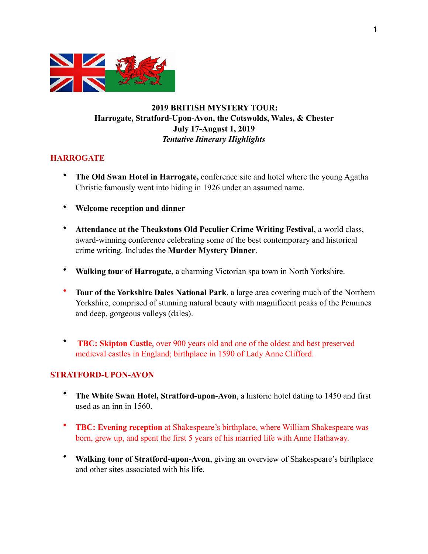

# **2019 BRITISH MYSTERY TOUR: Harrogate, Stratford-Upon-Avon, the Cotswolds, Wales, & Chester July 17-August 1, 2019**  *Tentative Itinerary Highlights*

#### **HARROGATE**

- **The Old Swan Hotel in Harrogate,** conference site and hotel where the young Agatha Christie famously went into hiding in 1926 under an assumed name.
- **Welcome reception and dinner**
- **Attendance at the Theakstons Old Peculier Crime Writing Festival**, a world class, award-winning conference celebrating some of the best contemporary and historical crime writing. Includes the **Murder Mystery Dinner**.
- **Walking tour of Harrogate,** a charming Victorian spa town in North Yorkshire.
- **Tour of the Yorkshire Dales National Park**, a large area covering much of the Northern Yorkshire, comprised of stunning natural beauty with magnificent peaks of the Pennines and deep, gorgeous valleys (dales).
- **TBC: Skipton Castle**, over 900 years old and one of the oldest and best preserved medieval castles in England; birthplace in 1590 of Lady Anne Clifford.

#### **STRATFORD-UPON-AVON**

- **The White Swan Hotel, Stratford-upon-Avon**, a historic hotel dating to 1450 and first used as an inn in 1560.
- **TBC: Evening reception** at Shakespeare's birthplace, where William Shakespeare was born, grew up, and spent the first 5 years of his married life with Anne Hathaway.
- **Walking tour of Stratford-upon-Avon**, giving an overview of Shakespeare's birthplace and other sites associated with his life.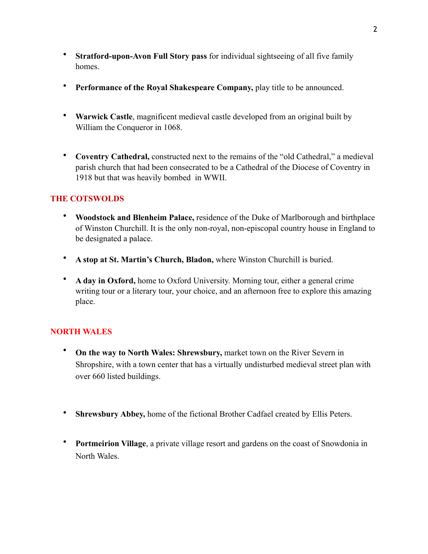- **Stratford-upon-Avon Full Story pass** for individual sightseeing of all five family homes.
- **Performance of the Royal Shakespeare Company,** play title to be announced.
- **Warwick Castle**, magnificent medieval castle developed from an original built by William the Conqueror in 1068.
- **Coventry Cathedral,** constructed next to the remains of the "old Cathedral," a medieval parish church that had been consecrated to be a Cathedral of the Diocese of Coventry in 1918 but that was heavily bombed in WWII.

## **THE COTSWOLDS**

- **Woodstock and Blenheim Palace,** residence of the Duke of Marlborough and birthplace of Winston Churchill. It is the only non-royal, non-episcopal country house in England to be designated a palace.
- **A stop at St. Martin's Church, Bladon,** where Winston Churchill is buried.
- **A day in Oxford,** home to Oxford University. Morning tour, either a general crime writing tour or a literary tour, your choice, and an afternoon free to explore this amazing place.

## **NORTH WALES**

- **On the way to North Wales: Shrewsbury,** market town on the River Severn in Shropshire, with a town center that has a virtually undisturbed medieval street plan with over 660 listed buildings.
- **Shrewsbury Abbey,** home of the fictional Brother Cadfael created by Ellis Peters.
- **Portmeirion Village**, a private village resort and gardens on the coast of Snowdonia in North Wales.